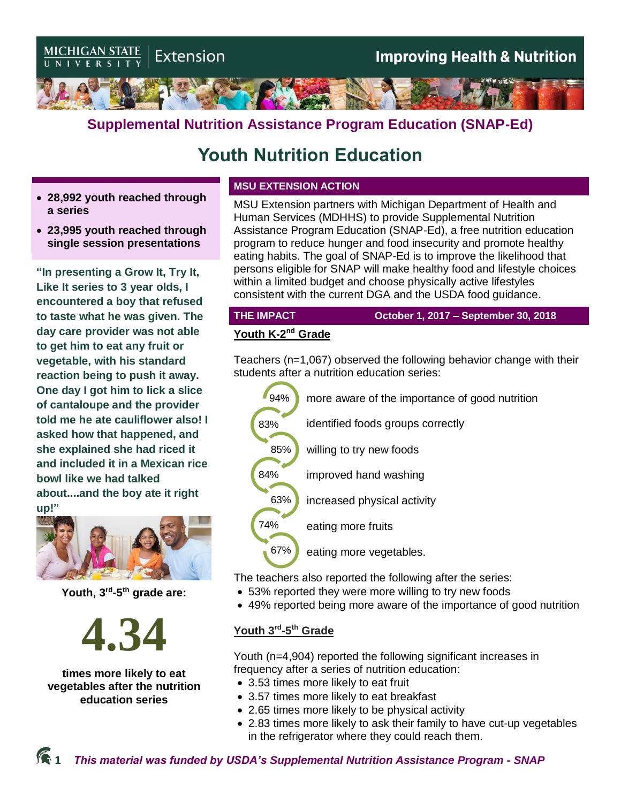

## **Supplemental Nutrition Assistance Program Education (SNAP-Ed)**

# **Youth Nutrition Education**

- **28,992 youth reached through a series**
- **23,995 youth reached through single session presentations**

**"In presenting a Grow It, Try It, Like It series to 3 year olds, I encountered a boy that refused to taste what he was given. The day care provider was not able to get him to eat any fruit or vegetable, with his standard reaction being to push it away. One day I got him to lick a slice of cantaloupe and the provider told me he ate cauliflower also! I asked how that happened, and she explained she had riced it and included it in a Mexican rice bowl like we had talked about....and the boy ate it right up!"**



**Youth, 3 rd -5 th grade are:**



**times more likely to eat vegetables after the nutrition education series** 

#### **MSU EXTENSION ACTION**

MSU Extension partners with Michigan Department of Health and Human Services (MDHHS) to provide Supplemental Nutrition Assistance Program Education (SNAP-Ed), a free nutrition education program to reduce hunger and food insecurity and promote healthy eating habits. The goal of SNAP-Ed is to improve the likelihood that persons eligible for SNAP will make healthy food and lifestyle choices within a limited budget and choose physically active lifestyles consistent with the current DGA and the USDA food guidance.

**THE IMPACT October 1, 2017 – September 30, 2018**

#### **Youth K-2<sup>nd</sup> Grade**

Teachers (n=1,067) observed the following behavior change with their students after a nutrition education series:



The teachers also reported the following after the series:

- 53% reported they were more willing to try new foods
- 49% reported being more aware of the importance of good nutrition

#### **Youth 3rd -5 th Grade**

Youth (n=4,904) reported the following significant increases in frequency after a series of nutrition education:

- 3.53 times more likely to eat fruit
- 3.57 times more likely to eat breakfast
- 2.65 times more likely to be physical activity
- 2.83 times more likely to ask their family to have cut-up vegetables in the refrigerator where they could reach them.